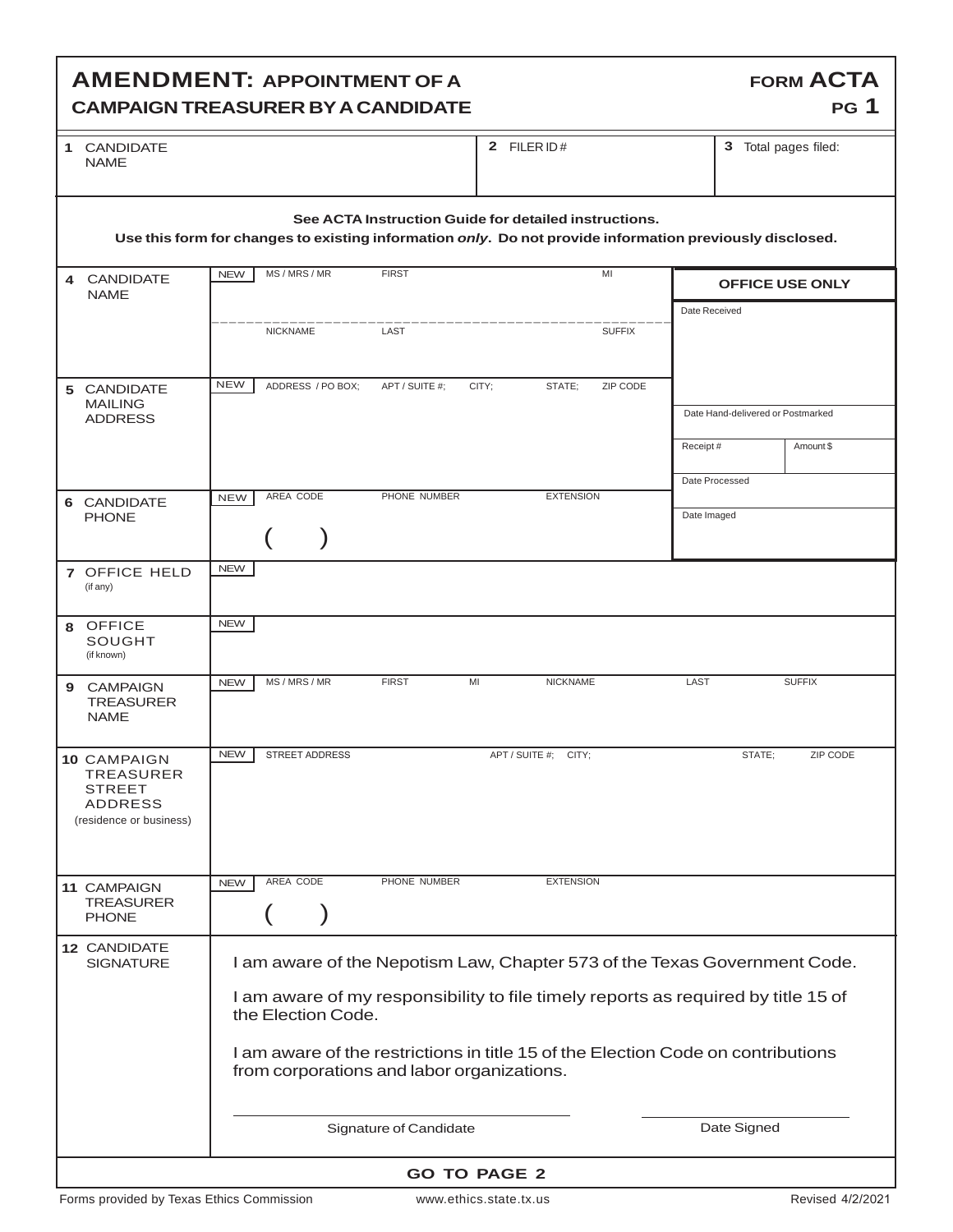## **AMENDMENT: APPOINTMENT OF A CAMPAIGN TREASURER BYA CANDIDATE**

| 1 | <b>CANDIDATE</b> |
|---|------------------|
|   | NAMF             |

**2 FILER ID # 3 3** Total pages filed:

**FORM ACTA** 

**PG 1** 

| See ACTA Instruction Guide for detailed instructions.<br>Use this form for changes to existing information only. Do not provide information previously disclosed. |                                                                                                                                                                                                                                                                          |                   |                         |                      |                                   |                        |  |
|-------------------------------------------------------------------------------------------------------------------------------------------------------------------|--------------------------------------------------------------------------------------------------------------------------------------------------------------------------------------------------------------------------------------------------------------------------|-------------------|-------------------------|----------------------|-----------------------------------|------------------------|--|
| 4 CANDIDATE<br><b>NAME</b>                                                                                                                                        | <b>NEW</b>                                                                                                                                                                                                                                                               | MS / MRS / MR     | <b>FIRST</b>            | MI                   |                                   | <b>OFFICE USE ONLY</b> |  |
|                                                                                                                                                                   |                                                                                                                                                                                                                                                                          | <b>NICKNAME</b>   | LAST                    | <b>SUFFIX</b>        | Date Received                     |                        |  |
| 5 CANDIDATE<br><b>MAILING</b><br><b>ADDRESS</b>                                                                                                                   | <b>NEW</b>                                                                                                                                                                                                                                                               | ADDRESS / PO BOX; | APT / SUITE #;<br>CITY; | STATE:<br>ZIP CODE   | Date Hand-delivered or Postmarked |                        |  |
|                                                                                                                                                                   |                                                                                                                                                                                                                                                                          |                   |                         |                      | Receipt#<br>Date Processed        | Amount \$              |  |
| 6 CANDIDATE<br><b>PHONE</b>                                                                                                                                       | <b>NEW</b>                                                                                                                                                                                                                                                               | AREA CODE         | PHONE NUMBER            | <b>EXTENSION</b>     | Date Imaged                       |                        |  |
| 7 OFFICE HELD<br>(if any)                                                                                                                                         | <b>NEW</b>                                                                                                                                                                                                                                                               |                   |                         |                      |                                   |                        |  |
| 8 OFFICE<br><b>SOUGHT</b><br>(if known)                                                                                                                           | <b>NEW</b>                                                                                                                                                                                                                                                               |                   |                         |                      |                                   |                        |  |
| <b>CAMPAIGN</b><br>9<br><b>TREASURER</b><br><b>NAME</b>                                                                                                           | <b>NEW</b>                                                                                                                                                                                                                                                               | MS / MRS / MR     | <b>FIRST</b><br>MI      | <b>NICKNAME</b>      | LAST                              | <b>SUFFIX</b>          |  |
| <b>10 CAMPAIGN</b><br>TREASURER<br><b>STREET</b><br><b>ADDRESS</b><br>(residence or business)                                                                     | <b>NEW</b>                                                                                                                                                                                                                                                               | STREET ADDRESS    |                         | APT / SUITE #; CITY; | STATE;                            | ZIP CODE               |  |
| 11 CAMPAIGN<br><b>TREASURER</b><br><b>PHONE</b>                                                                                                                   | <b>NEW</b>                                                                                                                                                                                                                                                               | AREA CODE         | PHONE NUMBER            | <b>EXTENSION</b>     |                                   |                        |  |
| 12 CANDIDATE<br><b>SIGNATURE</b>                                                                                                                                  | I am aware of the Nepotism Law, Chapter 573 of the Texas Government Code.<br>I am aware of my responsibility to file timely reports as required by title 15 of<br>the Election Code.<br>I am aware of the restrictions in title 15 of the Election Code on contributions |                   |                         |                      |                                   |                        |  |
|                                                                                                                                                                   | from corporations and labor organizations.                                                                                                                                                                                                                               |                   |                         |                      |                                   |                        |  |
|                                                                                                                                                                   | Date Signed<br>Signature of Candidate                                                                                                                                                                                                                                    |                   |                         |                      |                                   |                        |  |
| <b>GO TO PAGE 2</b>                                                                                                                                               |                                                                                                                                                                                                                                                                          |                   |                         |                      |                                   |                        |  |